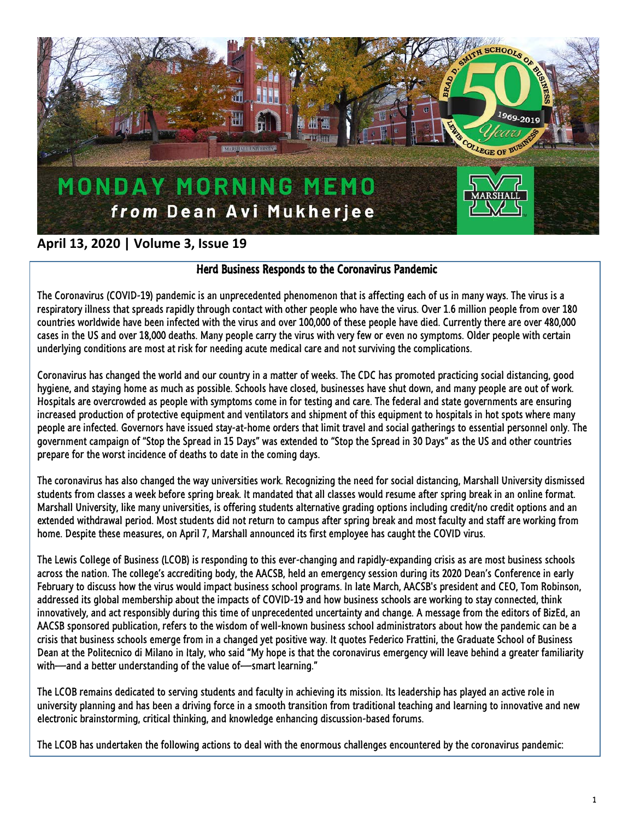

# **April 13, 2020 | Volume 3, Issue 19**

# Herd Business Responds to the Coronavirus Pandemic

The Coronavirus (COVID-19) pandemic is an unprecedented phenomenon that is affecting each of us in many ways. The virus is a respiratory illness that spreads rapidly through contact with other people who have the virus. Over 1.6 million people from over 180 countries worldwide have been infected with the virus and over 100,000 of these people have died. Currently there are over 480,000 cases in the US and over 18,000 deaths. Many people carry the virus with very few or even no symptoms. Older people with certain underlying conditions are most at risk for needing acute medical care and not surviving the complications.

Coronavirus has changed the world and our country in a matter of weeks. The CDC has promoted practicing social distancing, good hygiene, and staying home as much as possible. Schools have closed, businesses have shut down, and many people are out of work. Hospitals are overcrowded as people with symptoms come in for testing and care. The federal and state governments are ensuring increased production of protective equipment and ventilators and shipment of this equipment to hospitals in hot spots where many people are infected. Governors have issued stay-at-home orders that limit travel and social gatherings to essential personnel only. The government campaign of "Stop the Spread in 15 Days" was extended to "Stop the Spread in 30 Days" as the US and other countries prepare for the worst incidence of deaths to date in the coming days.

The coronavirus has also changed the way universities work. Recognizing the need for social distancing, Marshall University dismissed students from classes a week before spring break. It mandated that all classes would resume after spring break in an online format. Marshall University, like many universities, is offering students alternative grading options including credit/no credit options and an extended withdrawal period. Most students did not return to campus after spring break and most faculty and staff are working from home. Despite these measures, on April 7, Marshall announced its first employee has caught the COVID virus.

The Lewis College of Business (LCOB) is responding to this ever-changing and rapidly-expanding crisis as are most business schools across the nation. The college's accrediting body, the AACSB, held an emergency session during its 2020 Dean's Conference in early February to discuss how the virus would impact business school programs. In late March, AACSB's president and CEO, Tom Robinson, addressed its global membership about the impacts of COVID-19 and how business schools are working to stay connected, think innovatively, and act responsibly during this time of unprecedented uncertainty and change. A message from the editors of BizEd, an AACSB sponsored publication, refers to the wisdom of well-known business school administrators about how the pandemic can be a crisis that business schools emerge from in a changed yet positive way. It quotes Federico Frattini, the Graduate School of Business Dean at the Politecnico di Milano in Italy, who said "My hope is that the coronavirus emergency will leave behind a greater familiarity with—and a better understanding of the value of—smart learning."

The LCOB remains dedicated to serving students and faculty in achieving its mission. Its leadership has played an active role in university planning and has been a driving force in a smooth transition from traditional teaching and learning to innovative and new electronic brainstorming, critical thinking, and knowledge enhancing discussion-based forums.

The LCOB has undertaken the following actions to deal with the enormous challenges encountered by the coronavirus pandemic: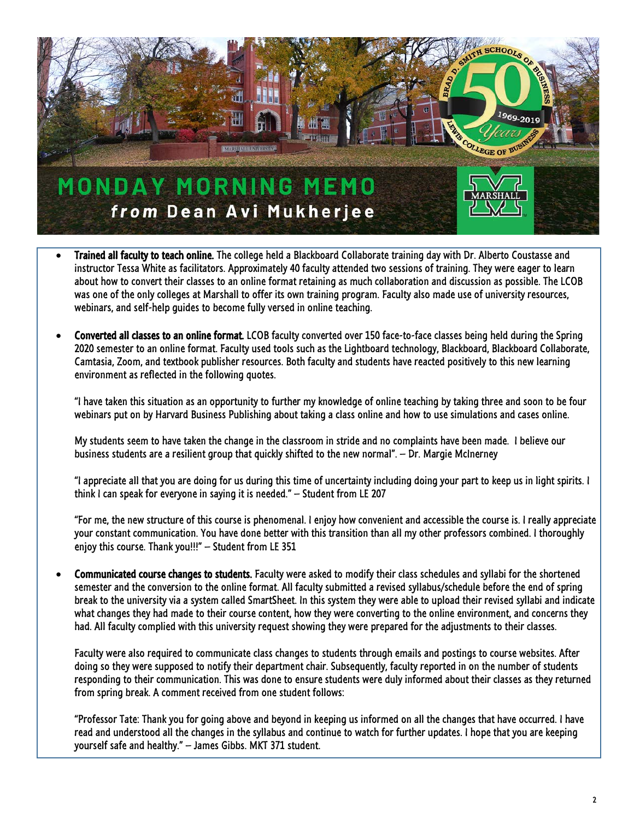

- Trained all faculty to teach online. The college held a Blackboard Collaborate training day with Dr. Alberto Coustasse and instructor Tessa White as facilitators. Approximately 40 faculty attended two sessions of training. They were eager to learn about how to convert their classes to an online format retaining as much collaboration and discussion as possible. The LCOB was one of the only colleges at Marshall to offer its own training program. Faculty also made use of university resources, webinars, and self-help guides to become fully versed in online teaching.
- Converted all classes to an online format. LCOB faculty converted over 150 face-to-face classes being held during the Spring 2020 semester to an online format. Faculty used tools such as the Lightboard technology, Blackboard, Blackboard Collaborate, Camtasia, Zoom, and textbook publisher resources. Both faculty and students have reacted positively to this new learning environment as reflected in the following quotes.

"I have taken this situation as an opportunity to further my knowledge of online teaching by taking three and soon to be four webinars put on by Harvard Business Publishing about taking a class online and how to use simulations and cases online.

My students seem to have taken the change in the classroom in stride and no complaints have been made. I believe our business students are a resilient group that quickly shifted to the new normal". – Dr. Margie McInerney

"I appreciate all that you are doing for us during this time of uncertainty including doing your part to keep us in light spirits. I think I can speak for everyone in saying it is needed." – Student from LE 207

"For me, the new structure of this course is phenomenal. I enjoy how convenient and accessible the course is. I really appreciate your constant communication. You have done better with this transition than all my other professors combined. I thoroughly enjoy this course. Thank you!!!" – Student from LE 351

• Communicated course changes to students. Faculty were asked to modify their class schedules and syllabi for the shortened semester and the conversion to the online format. All faculty submitted a revised syllabus/schedule before the end of spring break to the university via a system called SmartSheet. In this system they were able to upload their revised syllabi and indicate what changes they had made to their course content, how they were converting to the online environment, and concerns they had. All faculty complied with this university request showing they were prepared for the adjustments to their classes.

Faculty were also required to communicate class changes to students through emails and postings to course websites. After doing so they were supposed to notify their department chair. Subsequently, faculty reported in on the number of students responding to their communication. This was done to ensure students were duly informed about their classes as they returned from spring break. A comment received from one student follows:

"Professor Tate: Thank you for going above and beyond in keeping us informed on all the changes that have occurred. I have read and understood all the changes in the syllabus and continue to watch for further updates. I hope that you are keeping yourself safe and healthy." – James Gibbs. MKT 371 student.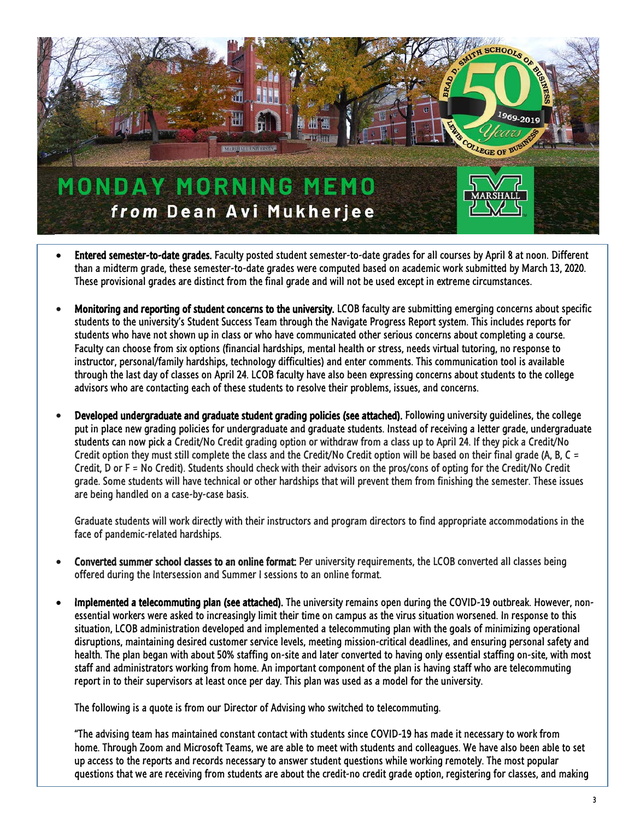

- Entered semester-to-date grades. Faculty posted student semester-to-date grades for all courses by April 8 at noon. Different than a midterm grade, these semester-to-date grades were computed based on academic work submitted by March 13, 2020. These provisional grades are distinct from the final grade and will not be used except in extreme circumstances.
- Monitoring and reporting of student concerns to the university. LCOB faculty are submitting emerging concerns about specific students to the university's Student Success Team through the Navigate Progress Report system. This includes reports for students who have not shown up in class or who have communicated other serious concerns about completing a course. Faculty can choose from six options (financial hardships, mental health or stress, needs virtual tutoring, no response to instructor, personal/family hardships, technology difficulties) and enter comments. This communication tool is available through the last day of classes on April 24. LCOB faculty have also been expressing concerns about students to the college advisors who are contacting each of these students to resolve their problems, issues, and concerns.
- Developed undergraduate and graduate student grading policies (see attached). Following university guidelines, the college put in place new grading policies for undergraduate and graduate students. Instead of receiving a letter grade, undergraduate students can now pick a Credit/No Credit grading option or withdraw from a class up to April 24. If they pick a Credit/No Credit option they must still complete the class and the Credit/No Credit option will be based on their final grade (A, B, C = Credit, D or F = No Credit). Students should check with their advisors on the pros/cons of opting for the Credit/No Credit grade. Some students will have technical or other hardships that will prevent them from finishing the semester. These issues are being handled on a case-by-case basis.

Graduate students will work directly with their instructors and program directors to find appropriate accommodations in the face of pandemic-related hardships.

- Converted summer school classes to an online format: Per university requirements, the LCOB converted all classes being offered during the Intersession and Summer I sessions to an online format.
- Implemented a telecommuting plan (see attached). The university remains open during the COVID-19 outbreak. However, nonessential workers were asked to increasingly limit their time on campus as the virus situation worsened. In response to this situation, LCOB administration developed and implemented a telecommuting plan with the goals of minimizing operational disruptions, maintaining desired customer service levels, meeting mission-critical deadlines, and ensuring personal safety and health. The plan began with about 50% staffing on-site and later converted to having only essential staffing on-site, with most staff and administrators working from home. An important component of the plan is having staff who are telecommuting report in to their supervisors at least once per day. This plan was used as a model for the university.

The following is a quote is from our Director of Advising who switched to telecommuting.

"The advising team has maintained constant contact with students since COVID-19 has made it necessary to work from home. Through Zoom and Microsoft Teams, we are able to meet with students and colleagues. We have also been able to set up access to the reports and records necessary to answer student questions while working remotely. The most popular questions that we are receiving from students are about the credit-no credit grade option, registering for classes, and making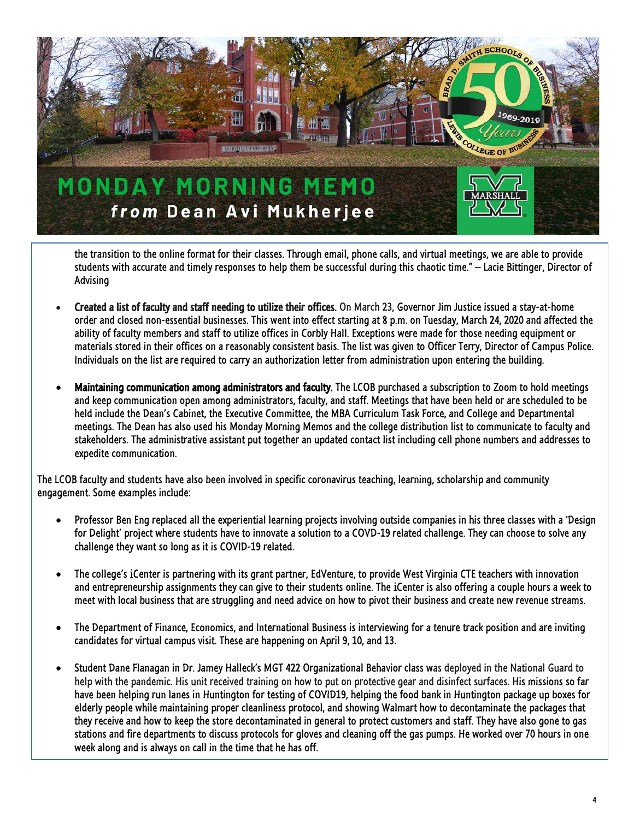

the transition to the online format for their classes. Through email, phone calls, and virtual meetings, we are able to provide students with accurate and timely responses to help them be successful during this chaotic time." – Lacie Bittinger, Director of Advising

- Created a list of faculty and staff needing to utilize their offices. On March 23, Governor Jim Justice issued a stay-at-home order and closed non-essential businesses. This went into effect starting at 8 p.m. on Tuesday, March 24, 2020 and affected the ability of faculty members and staff to utilize offices in Corbly Hall. Exceptions were made for those needing equipment or materials stored in their offices on a reasonably consistent basis. The list was given to Officer Terry, Director of Campus Police. Individuals on the list are required to carry an authorization letter from administration upon entering the building.
- Maintaining communication among administrators and faculty. The LCOB purchased a subscription to Zoom to hold meetings and keep communication open among administrators, faculty, and staff. Meetings that have been held or are scheduled to be held include the Dean's Cabinet, the Executive Committee, the MBA Curriculum Task Force, and College and Departmental meetings. The Dean has also used his Monday Morning Memos and the college distribution list to communicate to faculty and stakeholders. The administrative assistant put together an updated contact list including cell phone numbers and addresses to expedite communication.

The LCOB faculty and students have also been involved in specific coronavirus teaching, learning, scholarship and community engagement. Some examples include:

- Professor Ben Eng replaced all the experiential learning projects involving outside companies in his three classes with a 'Design for Delight' project where students have to innovate a solution to a COVD-19 related challenge. They can choose to solve any challenge they want so long as it is COVID-19 related.
- The college's *i*Center is partnering with its grant partner, EdVenture, to provide West Virginia CTE teachers with innovation and entrepreneurship assignments they can give to their students online. The *i*Center is also offering a couple hours a week to meet with local business that are struggling and need advice on how to pivot their business and create new revenue streams.
- The Department of Finance, Economics, and International Business is interviewing for a tenure track position and are inviting candidates for virtual campus visit. These are happening on April 9, 10, and 13.
- Student Dane Flanagan in Dr. Jamey Halleck's MGT 422 Organizational Behavior class was deployed in the National Guard to help with the pandemic. His unit received training on how to put on protective gear and disinfect surfaces. His missions so far have been helping run lanes in Huntington for testing of COVID19, helping the food bank in Huntington package up boxes for elderly people while maintaining proper cleanliness protocol, and showing Walmart how to decontaminate the packages that they receive and how to keep the store decontaminated in general to protect customers and staff. They have also gone to gas stations and fire departments to discuss protocols for gloves and cleaning off the gas pumps. He worked over 70 hours in one week along and is always on call in the time that he has off.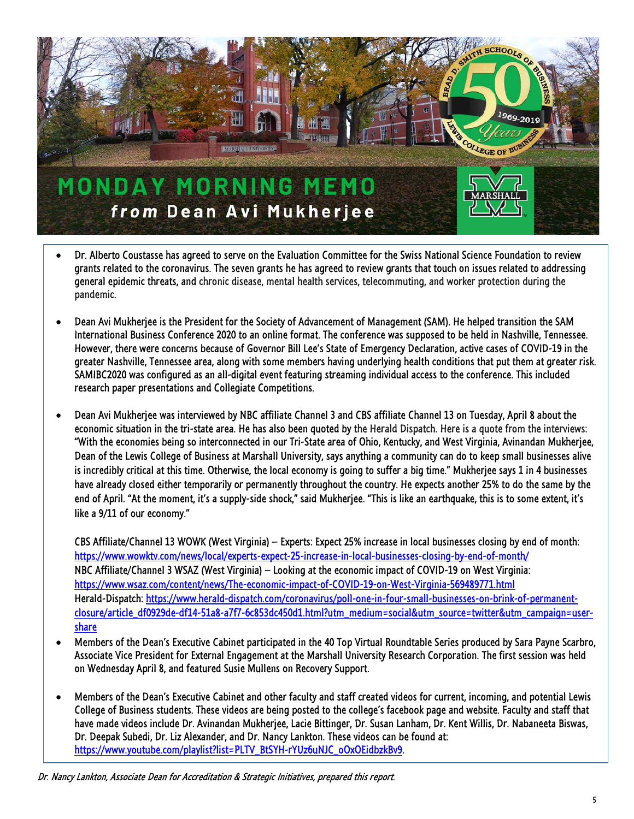

- Dr. Alberto Coustasse has agreed to serve on the Evaluation Committee for the Swiss National Science Foundation to review grants related to the coronavirus. The seven grants he has agreed to review grants that touch on issues related to addressing general epidemic threats, and chronic disease, mental health services, telecommuting, and worker protection during the pandemic.
- Dean Avi Mukherjee is the President for the Society of Advancement of Management (SAM). He helped transition the SAM International Business Conference 2020 to an online format. The conference was supposed to be held in Nashville, Tennessee. However, there were concerns because of Governor Bill Lee's State of Emergency Declaration, active cases of COVID-19 in the greater Nashville, Tennessee area, along with some members having underlying health conditions that put them at greater risk. SAMIBC2020 was configured as an all-digital event featuring streaming individual access to the conference. This included research paper presentations and Collegiate Competitions.
- Dean Avi Mukherjee was interviewed by NBC affiliate Channel 3 and CBS affiliate Channel 13 on Tuesday, April 8 about the economic situation in the tri-state area. He has also been quoted by the Herald Dispatch. Here is a quote from the interviews: "With the economies being so interconnected in our Tri-State area of Ohio, Kentucky, and West Virginia, Avinandan Mukherjee, Dean of the Lewis College of Business at Marshall University, says anything a community can do to keep small businesses alive is incredibly critical at this time. Otherwise, the local economy is going to suffer a big time." Mukherjee says 1 in 4 businesses have already closed either temporarily or permanently throughout the country. He expects another 25% to do the same by the end of April. "At the moment, it's a supply-side shock," said Mukherjee. "This is like an earthquake, this is to some extent, it's like a 9/11 of our economy."

CBS Affiliate/Channel 13 WOWK (West Virginia) – Experts: Expect 25% increase in local businesses closing by end of month: [https://www.wowktv.com/news/local/experts-expect-25-increase-in-local-businesses-closing-by-end-of-month/](https://linkprotect.cudasvc.com/url?a=https%3a%2f%2fwww.wowktv.com%2fnews%2flocal%2fexperts-expect-25-increase-in-local-businesses-closing-by-end-of-month%2f&c=E,1,gRUtRxePRoBY5gigEr82RF6dxSErqw4c__pDS9L9nzAWytudtPkYNXONBhhV9SQJxrkyzTW4gjVZRqBNQkSUZoDKHEWK1Nifgkw5OQxRR_KmgZCI&typo=1) NBC Affiliate/Channel 3 WSAZ (West Virginia) – Looking at the economic impact of COVID-19 on West Virginia: <https://www.wsaz.com/content/news/The-economic-impact-of-COVID-19-on-West-Virginia-569489771.html> Herald-Dispatch: [https://www.herald-dispatch.com/coronavirus/poll-one-in-four-small-businesses-on-brink-of-permanent](https://www.herald-dispatch.com/coronavirus/poll-one-in-four-small-businesses-on-brink-of-permanent-closure/article_df0929de-df14-51a8-a7f7-6c853dc450d1.html?utm_medium=social&utm_source=twitter&utm_campaign=user-share)[closure/article\\_df0929de-df14-51a8-a7f7-6c853dc450d1.html?utm\\_medium=social&utm\\_source=twitter&utm\\_campaign=user](https://www.herald-dispatch.com/coronavirus/poll-one-in-four-small-businesses-on-brink-of-permanent-closure/article_df0929de-df14-51a8-a7f7-6c853dc450d1.html?utm_medium=social&utm_source=twitter&utm_campaign=user-share)[share](https://www.herald-dispatch.com/coronavirus/poll-one-in-four-small-businesses-on-brink-of-permanent-closure/article_df0929de-df14-51a8-a7f7-6c853dc450d1.html?utm_medium=social&utm_source=twitter&utm_campaign=user-share)

- Members of the Dean's Executive Cabinet participated in the 40 Top Virtual Roundtable Series produced by Sara Payne Scarbro, Associate Vice President for External Engagement at the Marshall University Research Corporation. The first session was held on Wednesday April 8, and featured Susie Mullens on Recovery Support.
- Members of the Dean's Executive Cabinet and other faculty and staff created videos for current, incoming, and potential Lewis College of Business students. These videos are being posted to the college's facebook page and website. Faculty and staff that have made videos include Dr. Avinandan Mukherjee, Lacie Bittinger, Dr. Susan Lanham, Dr. Kent Willis, Dr. Nabaneeta Biswas, Dr. Deepak Subedi, Dr. Liz Alexander, and Dr. Nancy Lankton. These videos can be found at: [https://www.youtube.com/playlist?list=PLTV\\_BtSYH-rYUz6uNJC\\_oOxOEidbzkBv9.](https://www.youtube.com/playlist?list=PLTV_BtSYH-rYUz6uNJC_oOxOEidbzkBv9)

Dr. Nancy Lankton, Associate Dean for Accreditation & Strategic Initiatives, prepared this report.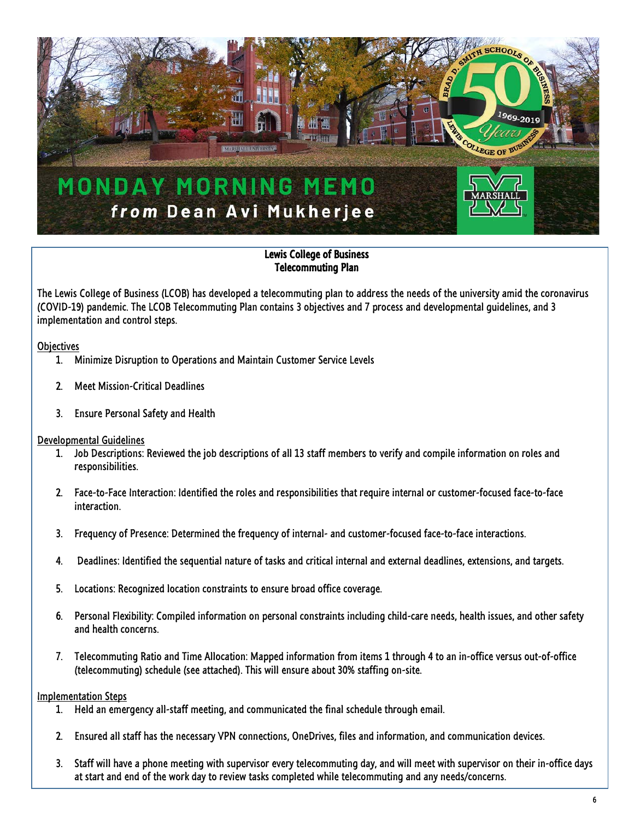

## Lewis College of Business Telecommuting Plan

The Lewis College of Business (LCOB) has developed a telecommuting plan to address the needs of the university amid the coronavirus (COVID-19) pandemic. The LCOB Telecommuting Plan contains 3 objectives and 7 process and developmental guidelines, and 3 implementation and control steps.

**Objectives** 

- 1. Minimize Disruption to Operations and Maintain Customer Service Levels
- 2. Meet Mission-Critical Deadlines
- 3. Ensure Personal Safety and Health

#### Developmental Guidelines

- 1. Job Descriptions: Reviewed the job descriptions of all 13 staff members to verify and compile information on roles and responsibilities.
- 2. Face-to-Face Interaction: Identified the roles and responsibilities that require internal or customer-focused face-to-face interaction.
- 3. Frequency of Presence: Determined the frequency of internal- and customer-focused face-to-face interactions.
- 4. Deadlines: Identified the sequential nature of tasks and critical internal and external deadlines, extensions, and targets.
- 5. Locations: Recognized location constraints to ensure broad office coverage.
- 6. Personal Flexibility: Compiled information on personal constraints including child-care needs, health issues, and other safety and health concerns.
- 7. Telecommuting Ratio and Time Allocation: Mapped information from items 1 through 4 to an in-office versus out-of-office (telecommuting) schedule (see attached). This will ensure about 30% staffing on-site.

#### Implementation Steps

- 1. Held an emergency all-staff meeting, and communicated the final schedule through email.
- 2. Ensured all staff has the necessary VPN connections, OneDrives, files and information, and communication devices.
- 3. Staff will have a phone meeting with supervisor every telecommuting day, and will meet with supervisor on their in-office days at start and end of the work day to review tasks completed while telecommuting and any needs/concerns.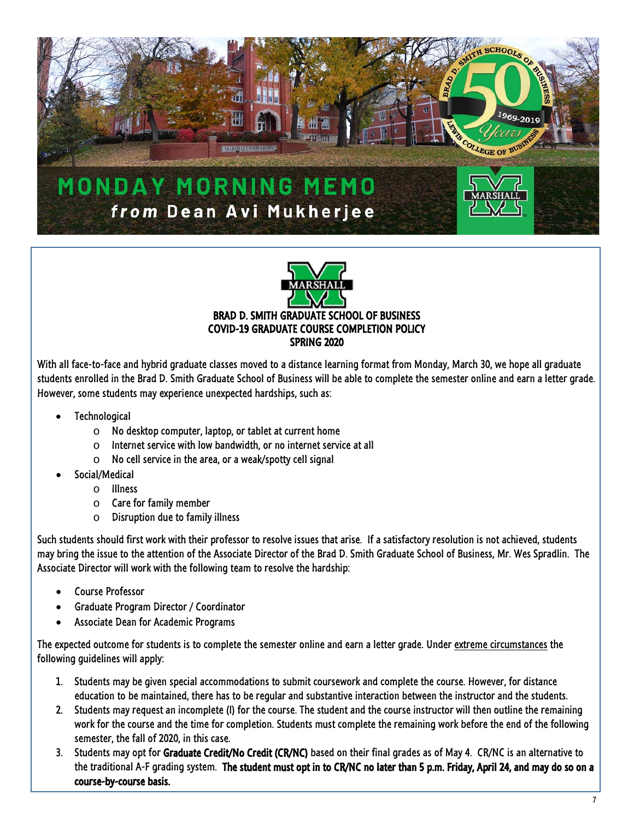



With all face-to-face and hybrid graduate classes moved to a distance learning format from Monday, March 30, we hope all graduate students enrolled in the Brad D. Smith Graduate School of Business will be able to complete the semester online and earn a letter grade. However, some students may experience unexpected hardships, such as:

- **Technological** 
	- o No desktop computer, laptop, or tablet at current home
	- $\circ$  Internet service with low bandwidth, or no internet service at all
	- $\circ$  No cell service in the area, or a weak/spotty cell signal
- Social/Medical
	- o Illness
	- o Care for family member
	- o Disruption due to family illness

Such students should first work with their professor to resolve issues that arise. If a satisfactory resolution is not achieved, students may bring the issue to the attention of the Associate Director of the Brad D. Smith Graduate School of Business, Mr. Wes Spradlin. The Associate Director will work with the following team to resolve the hardship:

- Course Professor
- Graduate Program Director / Coordinator
- Associate Dean for Academic Programs

The expected outcome for students is to complete the semester online and earn a letter grade. Under extreme circumstances the following guidelines will apply:

- 1. Students may be given special accommodations to submit coursework and complete the course. However, for distance education to be maintained, there has to be regular and substantive interaction between the instructor and the students.
- 2. Students may request an incomplete (I) for the course. The student and the course instructor will then outline the remaining work for the course and the time for completion. Students must complete the remaining work before the end of the following semester, the fall of 2020, in this case.
- 3. Students may opt for Graduate Credit/No Credit (CR/NC) based on their final grades as of May 4. CR/NC is an alternative to the traditional A-F grading system. The student must opt in to CR/NC no later than 5 p.m. Friday, April 24, and may do so on a course-by-course basis.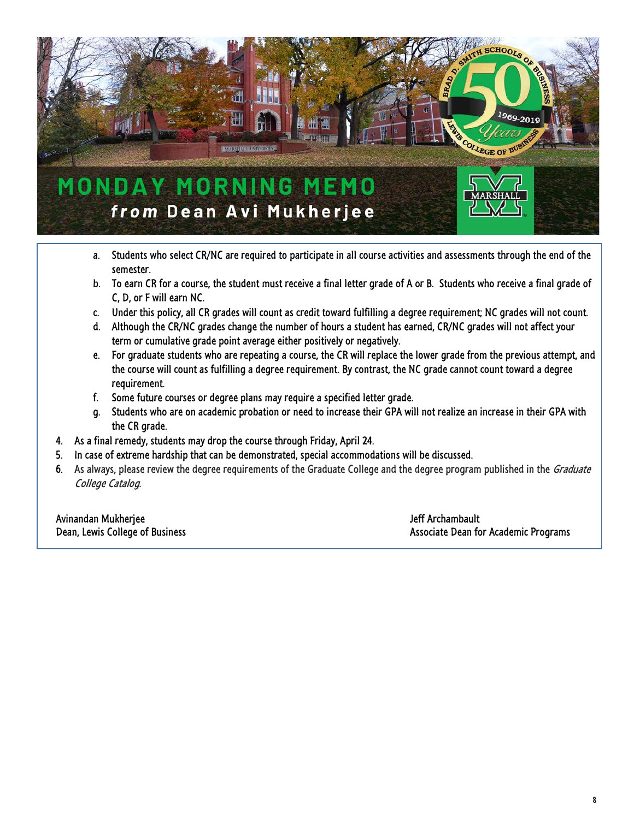

- a. Students who select CR/NC are required to participate in all course activities and assessments through the end of the semester.
- b. To earn CR for a course, the student must receive a final letter grade of A or B. Students who receive a final grade of C, D, or F will earn NC.
- c. Under this policy, all CR grades will count as credit toward fulfilling a degree requirement; NC grades will not count.
- d. Although the CR/NC grades change the number of hours a student has earned, CR/NC grades will not affect your term or cumulative grade point average either positively or negatively.
- e. For graduate students who are repeating a course, the CR will replace the lower grade from the previous attempt, and the course will count as fulfilling a degree requirement. By contrast, the NC grade cannot count toward a degree requirement.
- f. Some future courses or degree plans may require a specified letter grade.
- g. Students who are on academic probation or need to increase their GPA will not realize an increase in their GPA with the CR grade.
- 4. As a final remedy, students may drop the course through Friday, April 24.
- 5. In case of extreme hardship that can be demonstrated, special accommodations will be discussed.
- 6. As always, please review the degree requirements of the Graduate College and the degree program published in the *Graduate* College Catalog.

Avinandan Mukherjee Jeff Archambault and the Jeff Archambault and the Jeff Archambault

Dean, Lewis College of Business Associate Dean for Academic Programs Associate Dean for Academic Programs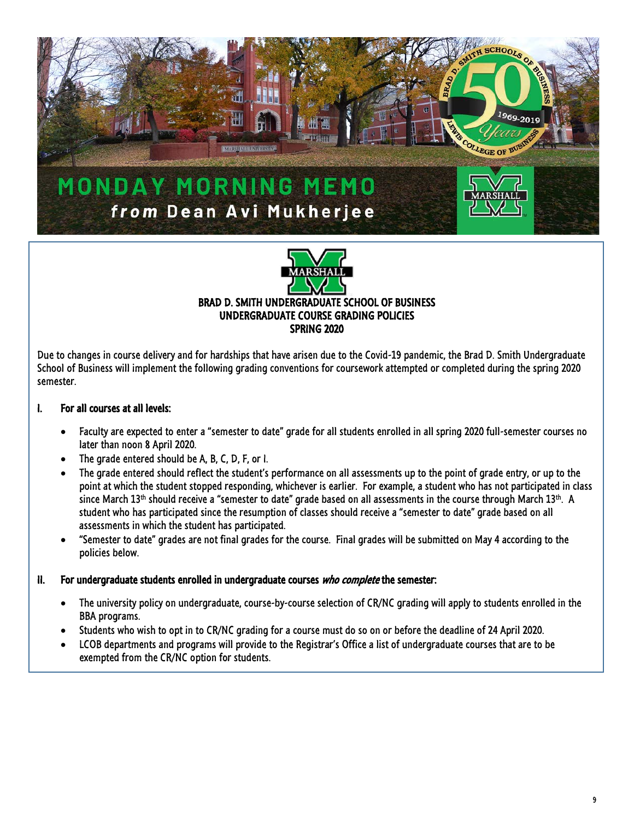



SPRING 2020

Due to changes in course delivery and for hardships that have arisen due to the Covid-19 pandemic, the Brad D. Smith Undergraduate School of Business will implement the following grading conventions for coursework attempted or completed during the spring 2020 semester.

## I. For all courses at all levels:

 $\overline{a}$ 

- Faculty are expected to enter a "semester to date" grade for all students enrolled in all spring 2020 full-semester courses no later than noon 8 April 2020.
- The grade entered should be A, B, C, D, F, or I.
- The grade entered should reflect the student's performance on all assessments up to the point of grade entry, or up to the point at which the student stopped responding, whichever is earlier. For example, a student who has not participated in class since March 13<sup>th</sup> should receive a "semester to date" grade based on all assessments in the course through March 13<sup>th</sup>. A student who has participated since the resumption of classes should receive a "semester to date" grade based on all assessments in which the student has participated.
- "Semester to date" grades are not final grades for the course. Final grades will be submitted on May 4 according to the policies below.

#### II. For undergraduate students enrolled in undergraduate courses who complete the semester:

- The university policy on undergraduate, course-by-course selection of CR/NC grading will apply to students enrolled in the BBA programs.
- Students who wish to opt in to CR/NC grading for a course must do so on or before the deadline of 24 April 2020.
- LCOB departments and programs will provide to the Registrar's Office a list of undergraduate courses that are to be exempted from the CR/NC option for students.